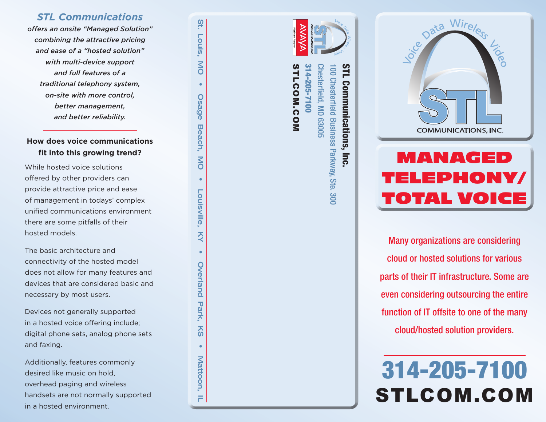#### *STL Communications*

*offers an onsite "Managed Solution" combining the attractive pricing and ease of a "hosted solution" with multi-device support and full features of a traditional telephony system, on-site with more control, better management, and better reliability.* 

### **How does voice communications fit into this growing trend?**

While hosted voice solutions offered by other providers can provide attractive price and ease of management in todays' complex unified communications environment there are some pitfalls of their hosted models.

The basic architecture and connectivity of the hosted model does not allow for many features and devices that are considered basic and necessary by most users.

Devices not generally supported in a hosted voice offering include; digital phone sets, analog phone sets and faxing.

Additionally, features commonly desired like music on hold, overhead paging and wireless handsets are not normally supported in a hosted environment.



St. Louis, MO • Osage Beach, MO • Louisville, KY • Overland Park, KS • Mattoon, IL

Š

**Overland** 

Park,

 $\overline{\text{2}}$ 

 $\bullet$ 

Mattoon,

F

Louisville

St.

Fouis

**NO** 

Osage

Beach,

**NO** 



## MANAGED TELEPHONY/ TOTAL VOIC

Many organizations are considering cloud or hosted solutions for various parts of their IT infrastructure. Some are even considering outsourcing the entire function of IT offsite to one of the many cloud/hosted solution providers.

# 314-205-7100 STLCOM.COM